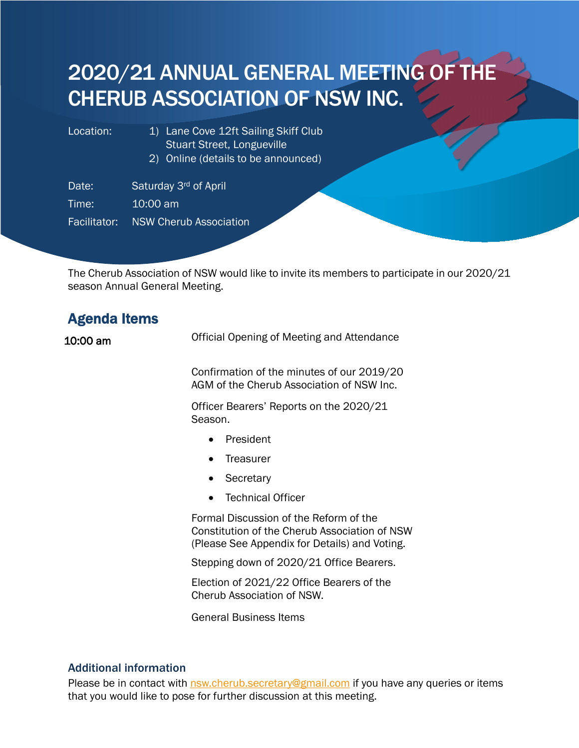# 2020/21 ANNUAL GENERAL MEETING OF THE CHERUB ASSOCIATION OF NSW INC.

- Location: 1) Lane Cove 12ft Sailing Skiff Club Stuart Street, Longueville
	- 2) Online (details to be announced)

Date: Saturday 3rd of April

Time: 10:00 am

Facilitator: NSW Cherub Association

The Cherub Association of NSW would like to invite its members to participate in our 2020/21 season Annual General Meeting.

| <b>Agenda Items</b> |                                                                                                                                          |
|---------------------|------------------------------------------------------------------------------------------------------------------------------------------|
| 10:00 am            | Official Opening of Meeting and Attendance                                                                                               |
|                     | Confirmation of the minutes of our 2019/20<br>AGM of the Cherub Association of NSW Inc.                                                  |
|                     | Officer Bearers' Reports on the 2020/21<br>Season.                                                                                       |
|                     | President                                                                                                                                |
|                     | Treasurer                                                                                                                                |
|                     | Secretary                                                                                                                                |
|                     | <b>Technical Officer</b>                                                                                                                 |
|                     | Formal Discussion of the Reform of the<br>Constitution of the Cherub Association of NSW<br>(Please See Appendix for Details) and Voting. |
|                     | Stepping down of 2020/21 Office Bearers.                                                                                                 |
|                     | Election of 2021/22 Office Bearers of the<br>Cherub Association of NSW.                                                                  |
|                     | <b>General Business Items</b>                                                                                                            |
|                     |                                                                                                                                          |

### Additional information

Please be in contact with **nsw.cherub.secretary@gmail.com** if you have any queries or items that you would like to pose for further discussion at this meeting.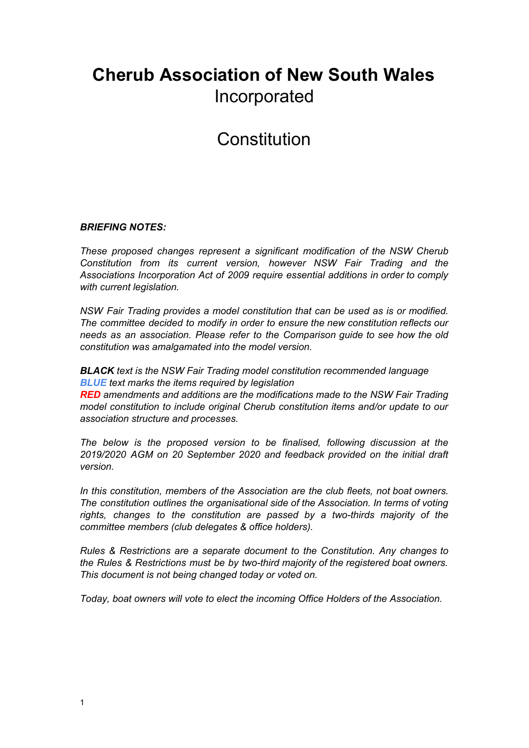# **Cherub Association of New South Wales** Incorporated

# Constitution

### *BRIEFING NOTES:*

*These proposed changes represent a significant modification of the NSW Cherub Constitution from its current version, however NSW Fair Trading and the Associations Incorporation Act of 2009 require essential additions in order to comply with current legislation.*

*NSW Fair Trading provides a model constitution that can be used as is or modified. The committee decided to modify in order to ensure the new constitution reflects our needs as an association. Please refer to the Comparison guide to see how the old constitution was amalgamated into the model version.*

*BLACK text is the NSW Fair Trading model constitution recommended language BLUE text marks the items required by legislation*

*RED amendments and additions are the modifications made to the NSW Fair Trading model constitution to include original Cherub constitution items and/or update to our association structure and processes.*

*The below is the proposed version to be finalised, following discussion at the 2019/2020 AGM on 20 September 2020 and feedback provided on the initial draft version.*

*In this constitution, members of the Association are the club fleets, not boat owners. The constitution outlines the organisational side of the Association. In terms of voting rights, changes to the constitution are passed by a two-thirds majority of the committee members (club delegates & office holders).*

*Rules & Restrictions are a separate document to the Constitution. Any changes to the Rules & Restrictions must be by two-third majority of the registered boat owners. This document is not being changed today or voted on.*

*Today, boat owners will vote to elect the incoming Office Holders of the Association.*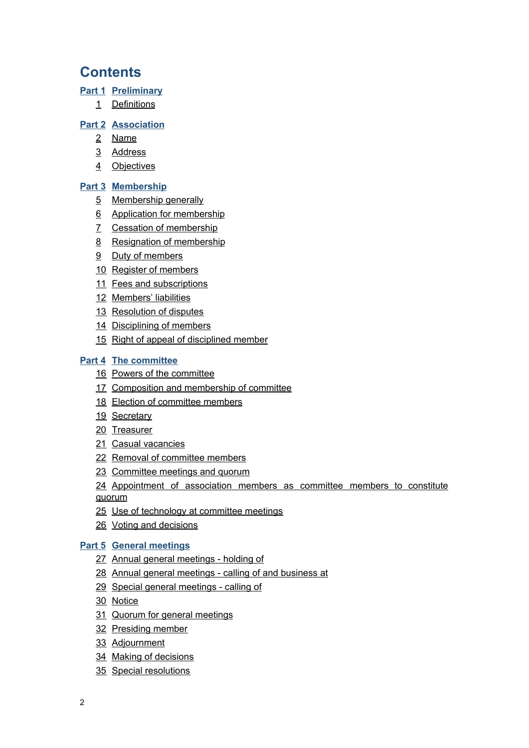# **Contents**

### **[Part 1](#page-4-0) [Preliminary](#page-4-0)**

[Definitions](#page-4-1)

### **[Part 2](#page-5-0) [Association](#page-5-0)**

- [Name](#page-6-0)
- [Address](#page-6-1)
- [Objectives](#page-6-2)

### **[Part 3](#page-7-0) [Membership](#page-7-0)**

- [Membership generally](#page-7-1)
- [Application for membership](#page-7-2)
- [Cessation of membership](#page-8-0)
- [Resignation of membership](#page-8-1)
- [Duty of members](#page-8-2)
- [Register of members](#page-8-3)
- [Fees and subscriptions](#page-9-0)
- [Members' liabilities](#page-9-1)
- [Resolution of disputes](#page-10-0)
- [Disciplining of members](#page-10-1)
- [Right of appeal of disciplined member](#page-11-0)

### **[Part 4](#page-11-1) [The committee](#page-11-1)**

- [Powers of the committee](#page-12-0)
- [Composition and membership of committee](#page-12-1)
- [Election of committee members](#page-13-0)
- [Secretary](#page-13-1)
- [Treasurer](#page-13-2)
- [Casual vacancies](#page-14-0)
- [Removal of committee members](#page-14-1)
- [Committee meetings and quorum](#page-14-2)
- [Appointment](#page-15-0) of association members as committee members to constitute
- [quorum](#page-15-0)
- [Use of technology at committee meetings](#page-15-1)
- [Voting and decisions](#page-16-0)

### **[Part 5](#page-16-1) [General meetings](#page-16-1)**

- [Annual general meetings holding of](#page-17-0)
- [Annual general meetings calling of and business at](#page-17-1)
- [Special general meetings calling of](#page-17-2)
- [Notice](#page-18-0)
- [Quorum for general meetings](#page-18-1)
- [Presiding member](#page-19-0)
- [Adjournment](#page-19-1)
- [Making of decisions](#page-19-2)
- [Special resolutions](#page-20-0)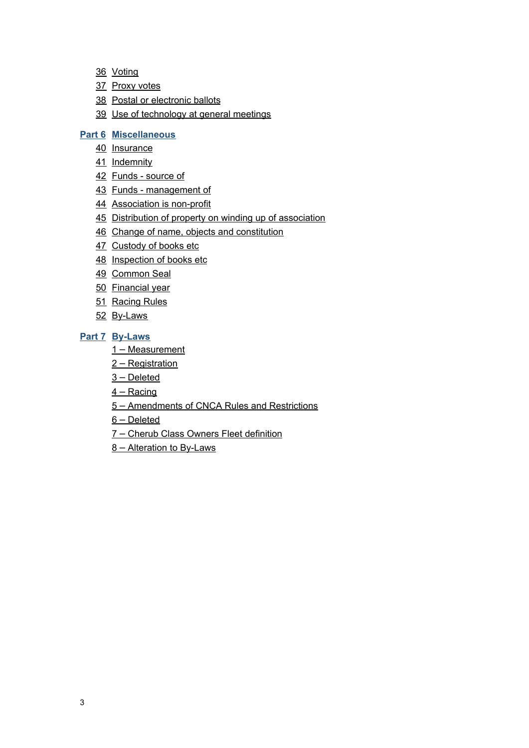- [Voting](#page-20-1)
- [Proxy votes](#page-20-2)
- [Postal or electronic ballots](#page-20-3)
- [Use of technology at general meetings](#page-20-4)

#### **[Part 6](#page-20-5) [Miscellaneous](#page-20-5)**

- [Insurance](#page-21-0)
- [Indemnity](#page-21-1)
- [Funds source of](#page-21-2)
- [Funds management of](#page-21-3)
- [Association is non-profit](#page-21-4)
- [Distribution of property on winding up of association](#page-21-5)
- [Change of name, objects and constitution](#page-22-0)
- [Custody of books etc](#page-22-1)
- [Inspection of books etc](#page-22-2)
- [Common Seal](#page-23-0)
- [Financial year](#page-23-1)
- [Racing Rules](#page-23-2)
- [By-Laws](#page-23-3)

#### **[Part 7](#page-24-0) [By-Laws](#page-24-0)**

- 1 – [Measurement](#page-24-1)
- 2 - [Registration](#page-24-2)
- $3 Deleted$  $3 Deleted$
- $4 -$ Racing
- 5 – [Amendments of CNCA Rules and Restrictions](#page-26-0)
- $6 -$  [Deleted](#page-26-1)
- 7 - [Cherub Class Owners Fleet definition](#page-26-2)
- 8 – [Alteration to By-Laws](#page-26-3)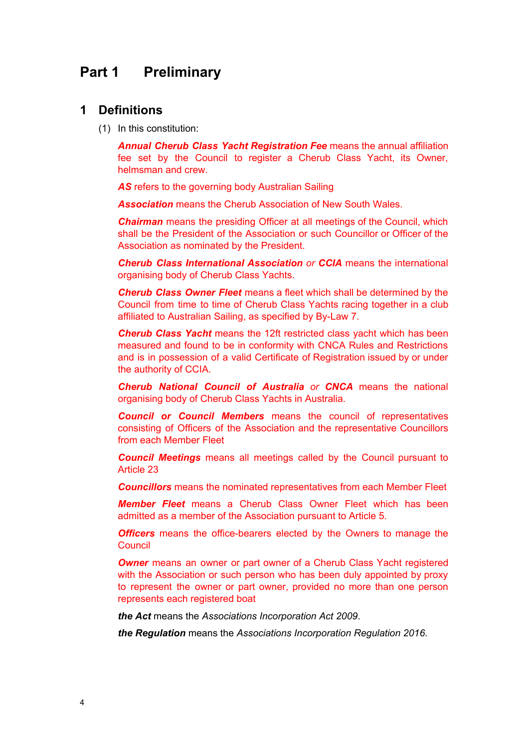# <span id="page-4-1"></span><span id="page-4-0"></span>**Part 1 Preliminary**

### **1 Definitions**

(1) In this constitution:

*Annual Cherub Class Yacht Registration Fee* means the annual affiliation fee set by the Council to register a Cherub Class Yacht, its Owner, helmsman and crew.

*AS* refers to the governing body Australian Sailing

*Association* means the Cherub Association of New South Wales.

**Chairman** means the presiding Officer at all meetings of the Council, which shall be the President of the Association or such Councillor or Officer of the Association as nominated by the President.

*Cherub Class International Association or CCIA* means the international organising body of Cherub Class Yachts.

*Cherub Class Owner Fleet* means a fleet which shall be determined by the Council from time to time of Cherub Class Yachts racing together in a club affiliated to Australian Sailing, as specified by By-Law 7.

*Cherub Class Yacht* means the 12ft restricted class yacht which has been measured and found to be in conformity with CNCA Rules and Restrictions and is in possession of a valid Certificate of Registration issued by or under the authority of CCIA.

*Cherub National Council of Australia or CNCA* means the national organising body of Cherub Class Yachts in Australia.

*Council or Council Members* means the council of representatives consisting of Officers of the Association and the representative Councillors from each Member Fleet

*Council Meetings* means all meetings called by the Council pursuant to Article 23

*Councillors* means the nominated representatives from each Member Fleet

*Member Fleet* means a Cherub Class Owner Fleet which has been admitted as a member of the Association pursuant to Article 5.

*Officers* means the office-bearers elected by the Owners to manage the **Council** 

*Owner* means an owner or part owner of a Cherub Class Yacht registered with the Association or such person who has been duly appointed by proxy to represent the owner or part owner, provided no more than one person represents each registered boat

*the Act* means the *Associations [Incorporation](http://main/) Act 2009*.

*the Regulation* means the *Associations [Incorporation](http://main/) Regulation 2016*.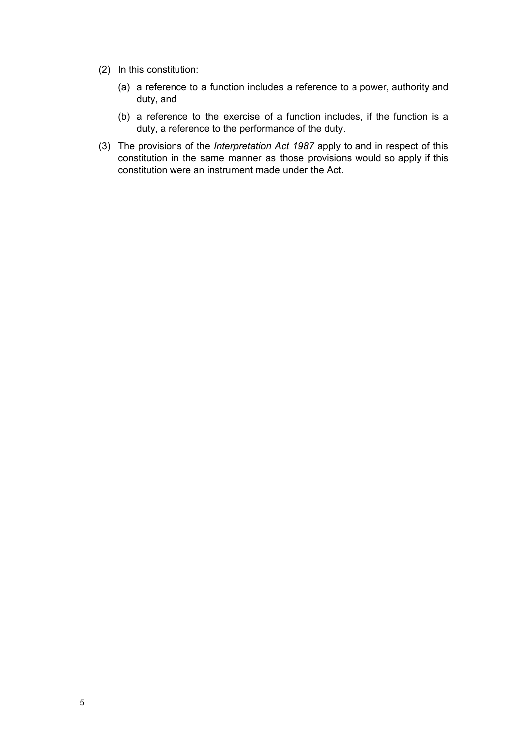- (2) In this constitution:
	- (a) a reference to a function includes a reference to a power, authority and duty, and
	- (b) a reference to the exercise of a function includes, if the function is a duty, a reference to the performance of the duty.
- <span id="page-5-0"></span>(3) The provisions of the *[Interpretation](http://main/) Act 1987* apply to and in respect of this constitution in the same manner as those provisions would so apply if this constitution were an instrument made under the Act.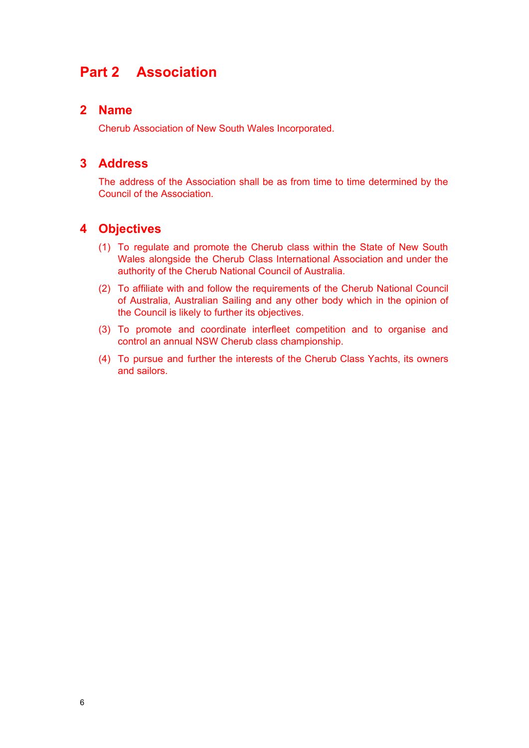# **Part 2 Association**

### <span id="page-6-0"></span>**2 Name**

Cherub Association of New South Wales Incorporated.

### <span id="page-6-1"></span>**3 Address**

The address of the Association shall be as from time to time determined by the Council of the Association.

# <span id="page-6-2"></span>**4 Objectives**

- (1) To regulate and promote the Cherub class within the State of New South Wales alongside the Cherub Class International Association and under the authority of the Cherub National Council of Australia.
- (2) To affiliate with and follow the requirements of the Cherub National Council of Australia, Australian Sailing and any other body which in the opinion of the Council is likely to further its objectives.
- (3) To promote and coordinate interfleet competition and to organise and control an annual NSW Cherub class championship.
- (4) To pursue and further the interests of the Cherub Class Yachts, its owners and sailors.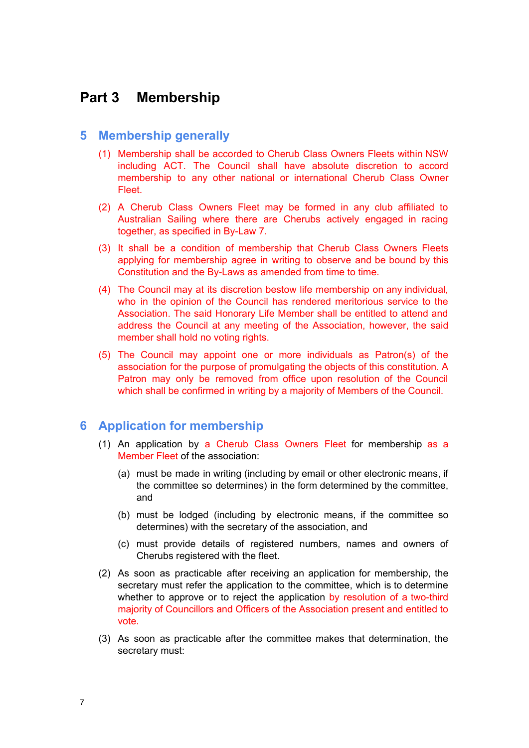# <span id="page-7-0"></span>**Part 3 Membership**

### <span id="page-7-1"></span>**5 Membership generally**

- (1) Membership shall be accorded to Cherub Class Owners Fleets within NSW including ACT. The Council shall have absolute discretion to accord membership to any other national or international Cherub Class Owner Fleet.
- (2) A Cherub Class Owners Fleet may be formed in any club affiliated to Australian Sailing where there are Cherubs actively engaged in racing together, as specified in By-Law 7.
- (3) It shall be a condition of membership that Cherub Class Owners Fleets applying for membership agree in writing to observe and be bound by this Constitution and the By-Laws as amended from time to time.
- (4) The Council may at its discretion bestow life membership on any individual, who in the opinion of the Council has rendered meritorious service to the Association. The said Honorary Life Member shall be entitled to attend and address the Council at any meeting of the Association, however, the said member shall hold no voting rights.
- (5) The Council may appoint one or more individuals as Patron(s) of the association for the purpose of promulgating the objects of this constitution. A Patron may only be removed from office upon resolution of the Council which shall be confirmed in writing by a majority of Members of the Council.

### <span id="page-7-2"></span>**6 Application for membership**

- (1) An application by a Cherub Class Owners Fleet for membership as a Member Fleet of the association:
	- (a) must be made in writing (including by email or other electronic means, if the committee so determines) in the form determined by the committee, and
	- (b) must be lodged (including by electronic means, if the committee so determines) with the secretary of the association, and
	- (c) must provide details of registered numbers, names and owners of Cherubs registered with the fleet.
- (2) As soon as practicable after receiving an application for membership, the secretary must refer the application to the committee, which is to determine whether to approve or to reject the application by resolution of a two-third majority of Councillors and Officers of the Association present and entitled to vote.
- (3) As soon as practicable after the committee makes that determination, the secretary must: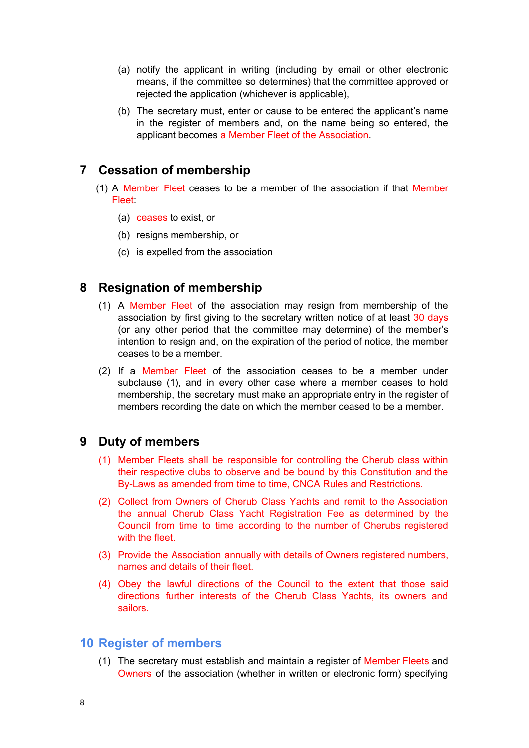- (a) notify the applicant in writing (including by email or other electronic means, if the committee so determines) that the committee approved or rejected the application (whichever is applicable),
- (b) The secretary must, enter or cause to be entered the applicant's name in the register of members and, on the name being so entered, the applicant becomes a Member Fleet of the Association.

# <span id="page-8-0"></span>**7 Cessation of membership**

- (1) A Member Fleet ceases to be a member of the association if that Member Fleet:
	- (a) ceases to exist, or
	- (b) resigns membership, or
	- (c) is expelled from the association

# <span id="page-8-1"></span>**8 Resignation of membership**

- (1) A Member Fleet of the association may resign from membership of the association by first giving to the secretary written notice of at least 30 days (or any other period that the committee may determine) of the member's intention to resign and, on the expiration of the period of notice, the member ceases to be a member.
- (2) If a Member Fleet of the association ceases to be a member under subclause (1), and in every other case where a member ceases to hold membership, the secretary must make an appropriate entry in the register of members recording the date on which the member ceased to be a member.

# <span id="page-8-2"></span>**9 Duty of members**

- (1) Member Fleets shall be responsible for controlling the Cherub class within their respective clubs to observe and be bound by this Constitution and the By-Laws as amended from time to time, CNCA Rules and Restrictions.
- (2) Collect from Owners of Cherub Class Yachts and remit to the Association the annual Cherub Class Yacht Registration Fee as determined by the Council from time to time according to the number of Cherubs registered with the fleet.
- (3) Provide the Association annually with details of Owners registered numbers, names and details of their fleet.
- (4) Obey the lawful directions of the Council to the extent that those said directions further interests of the Cherub Class Yachts, its owners and sailors.

# <span id="page-8-3"></span>**10 Register of members**

(1) The secretary must establish and maintain a register of Member Fleets and Owners of the association (whether in written or electronic form) specifying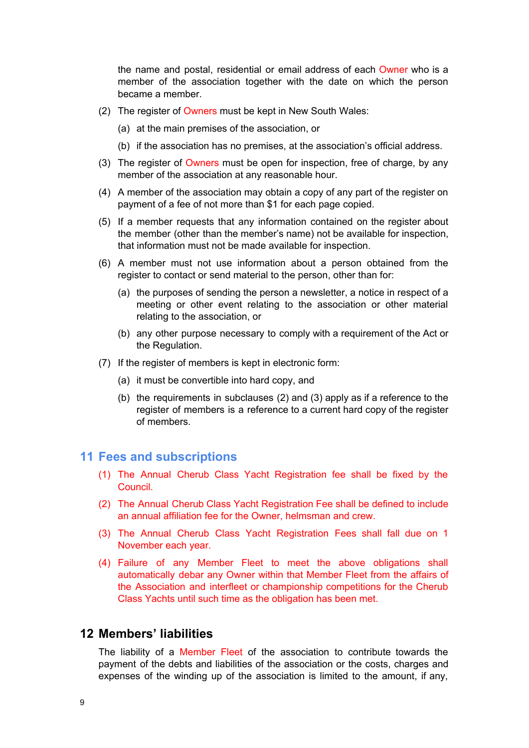the name and postal, residential or email address of each Owner who is a member of the association together with the date on which the person became a member.

- (2) The register of Owners must be kept in New South Wales:
	- (a) at the main premises of the association, or
	- (b) if the association has no premises, at the association's official address.
- (3) The register of Owners must be open for inspection, free of charge, by any member of the association at any reasonable hour.
- (4) A member of the association may obtain a copy of any part of the register on payment of a fee of not more than \$1 for each page copied.
- (5) If a member requests that any information contained on the register about the member (other than the member's name) not be available for inspection, that information must not be made available for inspection.
- (6) A member must not use information about a person obtained from the register to contact or send material to the person, other than for:
	- (a) the purposes of sending the person a newsletter, a notice in respect of a meeting or other event relating to the association or other material relating to the association, or
	- (b) any other purpose necessary to comply with a requirement of the Act or the Regulation.
- (7) If the register of members is kept in electronic form:
	- (a) it must be convertible into hard copy, and
	- (b) the requirements in subclauses (2) and (3) apply as if a reference to the register of members is a reference to a current hard copy of the register of members.

### <span id="page-9-0"></span>**11 Fees and subscriptions**

- (1) The Annual Cherub Class Yacht Registration fee shall be fixed by the Council.
- (2) The Annual Cherub Class Yacht Registration Fee shall be defined to include an annual affiliation fee for the Owner, helmsman and crew.
- (3) The Annual Cherub Class Yacht Registration Fees shall fall due on 1 November each year.
- (4) Failure of any Member Fleet to meet the above obligations shall automatically debar any Owner within that Member Fleet from the affairs of the Association and interfleet or championship competitions for the Cherub Class Yachts until such time as the obligation has been met.

# <span id="page-9-1"></span>**12 Members' liabilities**

The liability of a Member Fleet of the association to contribute towards the payment of the debts and liabilities of the association or the costs, charges and expenses of the winding up of the association is limited to the amount, if any,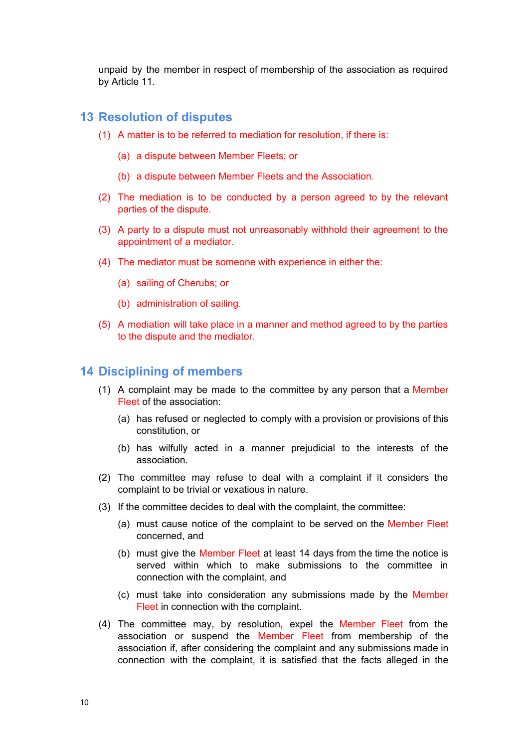unpaid by the member in respect of membership of the association as required by Article 11.

### <span id="page-10-0"></span>**13 Resolution of disputes**

- (1) A matter is to be referred to mediation for resolution, if there is:
	- (a) a dispute between Member Fleets; or
	- (b) a dispute between Member Fleets and the Association.
- (2) The mediation is to be conducted by a person agreed to by the relevant parties of the dispute.
- (3) A party to a dispute must not unreasonably withhold their agreement to the appointment of a mediator.
- (4) The mediator must be someone with experience in either the:
	- (a) sailing of Cherubs; or
	- (b) administration of sailing.
- (5) A mediation will take place in a manner and method agreed to by the parties to the dispute and the mediator.

### <span id="page-10-1"></span>**14 Disciplining of members**

- (1) A complaint may be made to the committee by any person that a Member Fleet of the association:
	- (a) has refused or neglected to comply with a provision or provisions of this constitution, or
	- (b) has wilfully acted in a manner prejudicial to the interests of the association.
- (2) The committee may refuse to deal with a complaint if it considers the complaint to be trivial or vexatious in nature.
- (3) If the committee decides to deal with the complaint, the committee:
	- (a) must cause notice of the complaint to be served on the Member Fleet concerned, and
	- (b) must give the Member Fleet at least 14 days from the time the notice is served within which to make submissions to the committee in connection with the complaint, and
	- (c) must take into consideration any submissions made by the Member Fleet in connection with the complaint.
- (4) The committee may, by resolution, expel the Member Fleet from the association or suspend the Member Fleet from membership of the association if, after considering the complaint and any submissions made in connection with the complaint, it is satisfied that the facts alleged in the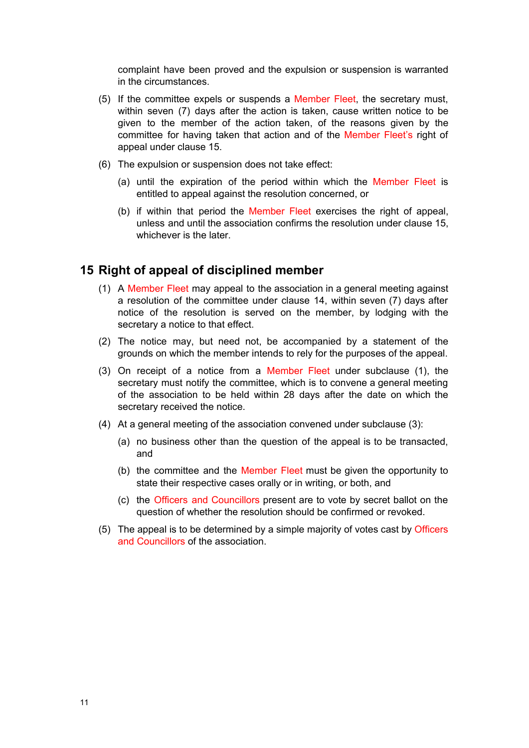complaint have been proved and the expulsion or suspension is warranted in the circumstances.

- (5) If the committee expels or suspends a Member Fleet, the secretary must, within seven (7) days after the action is taken, cause written notice to be given to the member of the action taken, of the reasons given by the committee for having taken that action and of the Member Fleet's right of appeal under clause 15.
- (6) The expulsion or suspension does not take effect:
	- (a) until the expiration of the period within which the Member Fleet is entitled to appeal against the resolution concerned, or
	- (b) if within that period the Member Fleet exercises the right of appeal, unless and until the association confirms the resolution under clause 15, whichever is the later.

### <span id="page-11-0"></span>**15 Right of appeal of disciplined member**

- (1) A Member Fleet may appeal to the association in a general meeting against a resolution of the committee under clause 14, within seven (7) days after notice of the resolution is served on the member, by lodging with the secretary a notice to that effect.
- (2) The notice may, but need not, be accompanied by a statement of the grounds on which the member intends to rely for the purposes of the appeal.
- (3) On receipt of a notice from a Member Fleet under subclause (1), the secretary must notify the committee, which is to convene a general meeting of the association to be held within 28 days after the date on which the secretary received the notice.
- (4) At a general meeting of the association convened under subclause (3):
	- (a) no business other than the question of the appeal is to be transacted, and
	- (b) the committee and the Member Fleet must be given the opportunity to state their respective cases orally or in writing, or both, and
	- (c) the Officers and Councillors present are to vote by secret ballot on the question of whether the resolution should be confirmed or revoked.
- <span id="page-11-1"></span>(5) The appeal is to be determined by a simple majority of votes cast by Officers and Councillors of the association.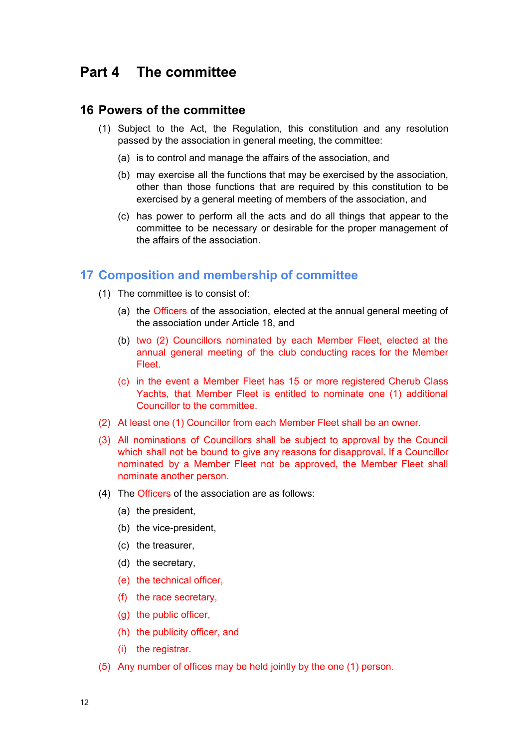# **Part 4 The committee**

### <span id="page-12-0"></span>**16 Powers of the committee**

- (1) Subject to the Act, the Regulation, this constitution and any resolution passed by the association in general meeting, the committee:
	- (a) is to control and manage the affairs of the association, and
	- (b) may exercise all the functions that may be exercised by the association, other than those functions that are required by this constitution to be exercised by a general meeting of members of the association, and
	- (c) has power to perform all the acts and do all things that appear to the committee to be necessary or desirable for the proper management of the affairs of the association.

### <span id="page-12-1"></span>**17 Composition and membership of committee**

- (1) The committee is to consist of:
	- (a) the Officers of the association, elected at the annual general meeting of the association under Article 18, and
	- (b) two (2) Councillors nominated by each Member Fleet, elected at the annual general meeting of the club conducting races for the Member Fleet.
	- (c) in the event a Member Fleet has 15 or more registered Cherub Class Yachts, that Member Fleet is entitled to nominate one (1) additional Councillor to the committee.
- (2) At least one (1) Councillor from each Member Fleet shall be an owner.
- (3) All nominations of Councillors shall be subject to approval by the Council which shall not be bound to give any reasons for disapproval. If a Councillor nominated by a Member Fleet not be approved, the Member Fleet shall nominate another person.
- (4) The Officers of the association are as follows:
	- (a) the president,
	- (b) the vice-president,
	- (c) the treasurer,
	- (d) the secretary,
	- (e) the technical officer,
	- (f) the race secretary,
	- (g) the public officer,
	- (h) the publicity officer, and
	- (i) the registrar.
- (5) Any number of offices may be held jointly by the one (1) person.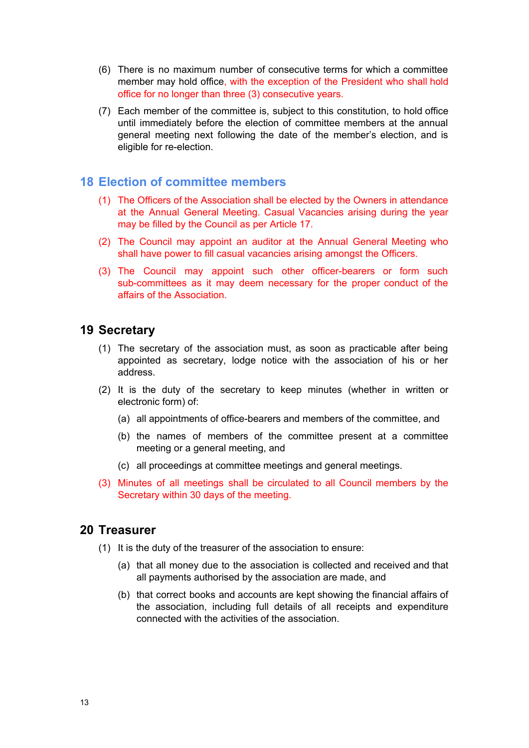- (6) There is no maximum number of consecutive terms for which a committee member may hold office, with the exception of the President who shall hold office for no longer than three (3) consecutive years.
- (7) Each member of the committee is, subject to this constitution, to hold office until immediately before the election of committee members at the annual general meeting next following the date of the member's election, and is eligible for re-election.

# <span id="page-13-0"></span>**18 Election of committee members**

- (1) The Officers of the Association shall be elected by the Owners in attendance at the Annual General Meeting. Casual Vacancies arising during the year may be filled by the Council as per Article 17.
- (2) The Council may appoint an auditor at the Annual General Meeting who shall have power to fill casual vacancies arising amongst the Officers.
- (3) The Council may appoint such other officer-bearers or form such sub-committees as it may deem necessary for the proper conduct of the affairs of the Association.

# <span id="page-13-1"></span>**19 Secretary**

- (1) The secretary of the association must, as soon as practicable after being appointed as secretary, lodge notice with the association of his or her address.
- (2) It is the duty of the secretary to keep minutes (whether in written or electronic form) of:
	- (a) all appointments of office-bearers and members of the committee, and
	- (b) the names of members of the committee present at a committee meeting or a general meeting, and
	- (c) all proceedings at committee meetings and general meetings.
- (3) Minutes of all meetings shall be circulated to all Council members by the Secretary within 30 days of the meeting.

# <span id="page-13-2"></span>**20 Treasurer**

- (1) It is the duty of the treasurer of the association to ensure:
	- (a) that all money due to the association is collected and received and that all payments authorised by the association are made, and
	- (b) that correct books and accounts are kept showing the financial affairs of the association, including full details of all receipts and expenditure connected with the activities of the association.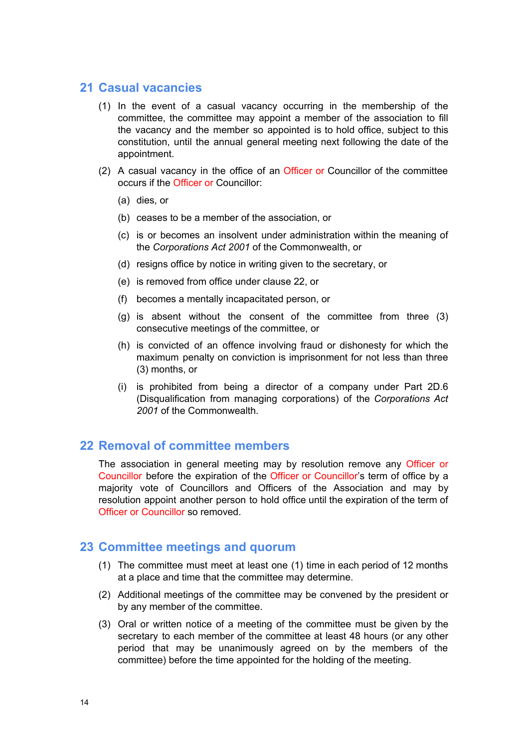# <span id="page-14-0"></span>**21 Casual vacancies**

- (1) In the event of a casual vacancy occurring in the membership of the committee, the committee may appoint a member of the association to fill the vacancy and the member so appointed is to hold office, subject to this constitution, until the annual general meeting next following the date of the appointment.
- (2) A casual vacancy in the office of an Officer or Councillor of the committee occurs if the Officer or Councillor:
	- (a) dies, or
	- (b) ceases to be a member of the association, or
	- (c) is or becomes an insolvent under administration within the meaning of the *Corporations Act 2001* of the Commonwealth, or
	- (d) resigns office by notice in writing given to the secretary, or
	- (e) is removed from office under clause 22, or
	- (f) becomes a mentally incapacitated person, or
	- (g) is absent without the consent of the committee from three (3) consecutive meetings of the committee, or
	- (h) is convicted of an offence involving fraud or dishonesty for which the maximum penalty on conviction is imprisonment for not less than three (3) months, or
	- (i) is prohibited from being a director of a company under Part 2D.6 (Disqualification from managing corporations) of the *Corporations Act 2001* of the Commonwealth.

### <span id="page-14-1"></span>**22 Removal of committee members**

The association in general meeting may by resolution remove any Officer or Councillor before the expiration of the Officer or Councillor's term of office by a majority vote of Councillors and Officers of the Association and may by resolution appoint another person to hold office until the expiration of the term of Officer or Councillor so removed.

### <span id="page-14-2"></span>**23 Committee meetings and quorum**

- (1) The committee must meet at least one (1) time in each period of 12 months at a place and time that the committee may determine.
- (2) Additional meetings of the committee may be convened by the president or by any member of the committee.
- (3) Oral or written notice of a meeting of the committee must be given by the secretary to each member of the committee at least 48 hours (or any other period that may be unanimously agreed on by the members of the committee) before the time appointed for the holding of the meeting.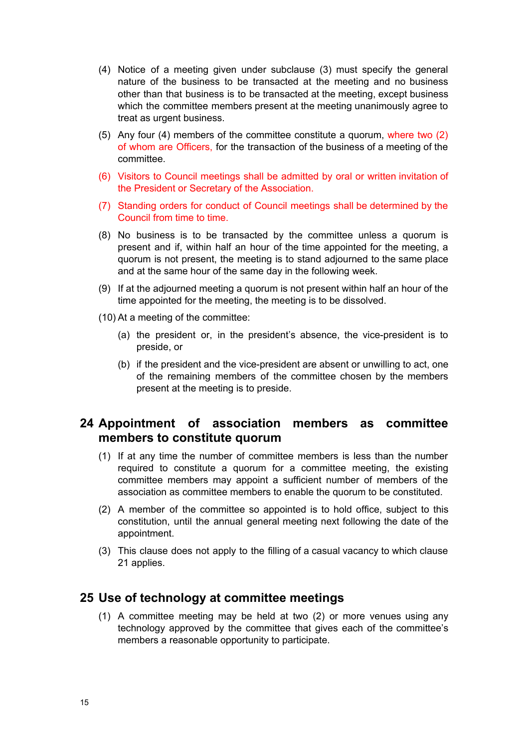- (4) Notice of a meeting given under subclause (3) must specify the general nature of the business to be transacted at the meeting and no business other than that business is to be transacted at the meeting, except business which the committee members present at the meeting unanimously agree to treat as urgent business.
- (5) Any four (4) members of the committee constitute a quorum, where two (2) of whom are Officers, for the transaction of the business of a meeting of the committee.
- (6) Visitors to Council meetings shall be admitted by oral or written invitation of the President or Secretary of the Association.
- (7) Standing orders for conduct of Council meetings shall be determined by the Council from time to time.
- (8) No business is to be transacted by the committee unless a quorum is present and if, within half an hour of the time appointed for the meeting, a quorum is not present, the meeting is to stand adjourned to the same place and at the same hour of the same day in the following week.
- (9) If at the adjourned meeting a quorum is not present within half an hour of the time appointed for the meeting, the meeting is to be dissolved.
- (10) At a meeting of the committee:
	- (a) the president or, in the president's absence, the vice-president is to preside, or
	- (b) if the president and the vice-president are absent or unwilling to act, one of the remaining members of the committee chosen by the members present at the meeting is to preside.

# <span id="page-15-0"></span>**24 Appointment of association members as committee members to constitute quorum**

- (1) If at any time the number of committee members is less than the number required to constitute a quorum for a committee meeting, the existing committee members may appoint a sufficient number of members of the association as committee members to enable the quorum to be constituted.
- (2) A member of the committee so appointed is to hold office, subject to this constitution, until the annual general meeting next following the date of the appointment.
- (3) This clause does not apply to the filling of a casual vacancy to which clause 21 applies.

# <span id="page-15-1"></span>**25 Use of technology at committee meetings**

(1) A committee meeting may be held at two (2) or more venues using any technology approved by the committee that gives each of the committee's members a reasonable opportunity to participate.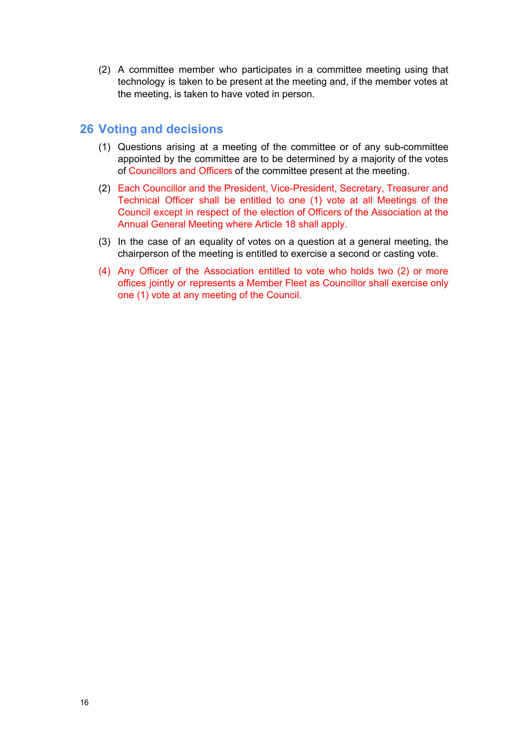(2) A committee member who participates in a committee meeting using that technology is taken to be present at the meeting and, if the member votes at the meeting, is taken to have voted in person.

# <span id="page-16-0"></span>**26 Voting and decisions**

- (1) Questions arising at a meeting of the committee or of any sub-committee appointed by the committee are to be determined by a majority of the votes of Councillors and Officers of the committee present at the meeting.
- (2) Each Councillor and the President, Vice-President, Secretary, Treasurer and Technical Officer shall be entitled to one (1) vote at all Meetings of the Council except in respect of the election of Officers of the Association at the Annual General Meeting where Article 18 shall apply.
- (3) In the case of an equality of votes on a question at a general meeting, the chairperson of the meeting is entitled to exercise a second or casting vote.
- <span id="page-16-1"></span>(4) Any Officer of the Association entitled to vote who holds two (2) or more offices jointly or represents a Member Fleet as Councillor shall exercise only one (1) vote at any meeting of the Council.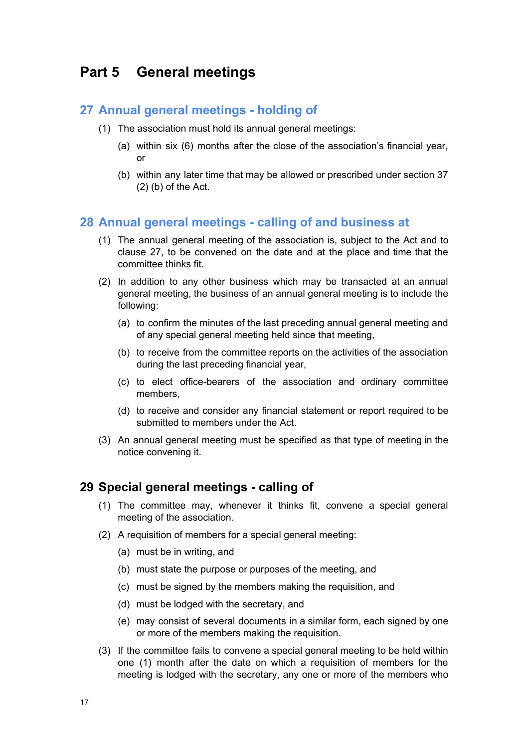# **Part 5 General meetings**

### <span id="page-17-0"></span>**27 Annual general meetings - holding of**

- (1) The association must hold its annual general meetings:
	- (a) within six (6) months after the close of the association's financial year, or
	- (b) within any later time that may be allowed or prescribed under section 37  $(2)$  (b) of the Act.

# <span id="page-17-1"></span>**28 Annual general meetings - calling of and business at**

- (1) The annual general meeting of the association is, subject to the Act and to clause 27, to be convened on the date and at the place and time that the committee thinks fit.
- (2) In addition to any other business which may be transacted at an annual general meeting, the business of an annual general meeting is to include the following:
	- (a) to confirm the minutes of the last preceding annual general meeting and of any special general meeting held since that meeting,
	- (b) to receive from the committee reports on the activities of the association during the last preceding financial year,
	- (c) to elect office-bearers of the association and ordinary committee members,
	- (d) to receive and consider any financial statement or report required to be submitted to members under the Act.
- (3) An annual general meeting must be specified as that type of meeting in the notice convening it.

### <span id="page-17-2"></span>**29 Special general meetings - calling of**

- (1) The committee may, whenever it thinks fit, convene a special general meeting of the association.
- (2) A requisition of members for a special general meeting:
	- (a) must be in writing, and
	- (b) must state the purpose or purposes of the meeting, and
	- (c) must be signed by the members making the requisition, and
	- (d) must be lodged with the secretary, and
	- (e) may consist of several documents in a similar form, each signed by one or more of the members making the requisition.
- (3) If the committee fails to convene a special general meeting to be held within one (1) month after the date on which a requisition of members for the meeting is lodged with the secretary, any one or more of the members who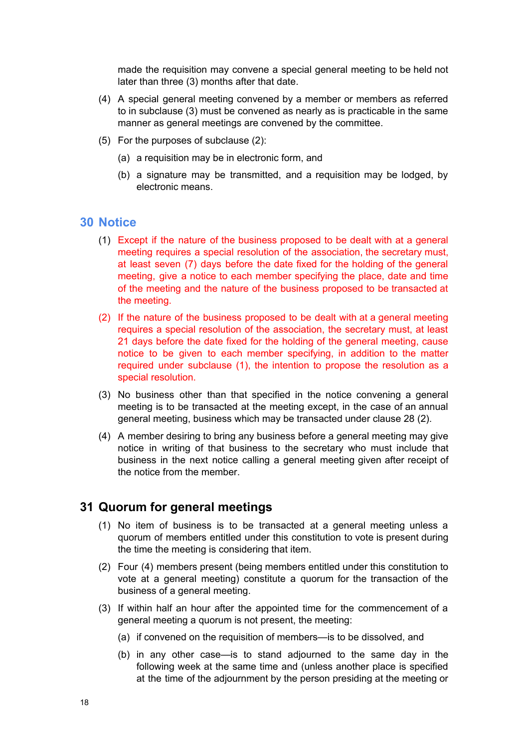made the requisition may convene a special general meeting to be held not later than three (3) months after that date.

- (4) A special general meeting convened by a member or members as referred to in subclause (3) must be convened as nearly as is practicable in the same manner as general meetings are convened by the committee.
- (5) For the purposes of subclause (2):
	- (a) a requisition may be in electronic form, and
	- (b) a signature may be transmitted, and a requisition may be lodged, by electronic means.

### <span id="page-18-0"></span>**30 Notice**

- (1) Except if the nature of the business proposed to be dealt with at a general meeting requires a special resolution of the association, the secretary must, at least seven (7) days before the date fixed for the holding of the general meeting, give a notice to each member specifying the place, date and time of the meeting and the nature of the business proposed to be transacted at the meeting.
- (2) If the nature of the business proposed to be dealt with at a general meeting requires a special resolution of the association, the secretary must, at least 21 days before the date fixed for the holding of the general meeting, cause notice to be given to each member specifying, in addition to the matter required under subclause (1), the intention to propose the resolution as a special resolution.
- (3) No business other than that specified in the notice convening a general meeting is to be transacted at the meeting except, in the case of an annual general meeting, business which may be transacted under clause 28 (2).
- (4) A member desiring to bring any business before a general meeting may give notice in writing of that business to the secretary who must include that business in the next notice calling a general meeting given after receipt of the notice from the member.

### <span id="page-18-1"></span>**31 Quorum for general meetings**

- (1) No item of business is to be transacted at a general meeting unless a quorum of members entitled under this constitution to vote is present during the time the meeting is considering that item.
- (2) Four (4) members present (being members entitled under this constitution to vote at a general meeting) constitute a quorum for the transaction of the business of a general meeting.
- (3) If within half an hour after the appointed time for the commencement of a general meeting a quorum is not present, the meeting:
	- (a) if convened on the requisition of members—is to be dissolved, and
	- (b) in any other case—is to stand adjourned to the same day in the following week at the same time and (unless another place is specified at the time of the adjournment by the person presiding at the meeting or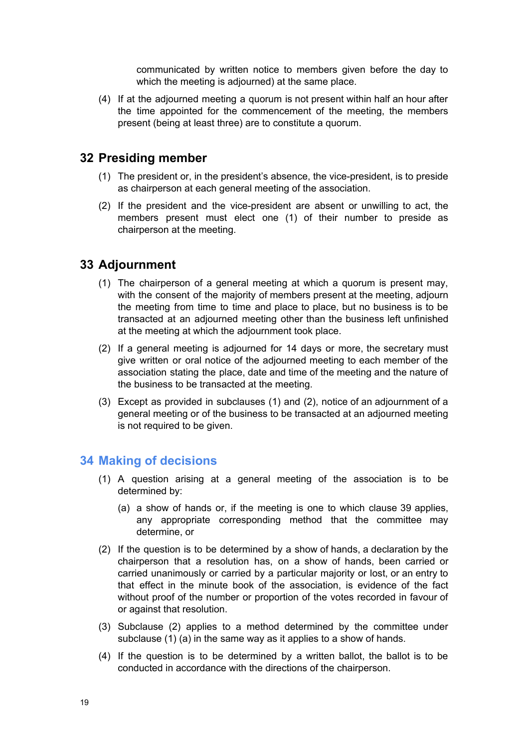communicated by written notice to members given before the day to which the meeting is adjourned) at the same place.

(4) If at the adjourned meeting a quorum is not present within half an hour after the time appointed for the commencement of the meeting, the members present (being at least three) are to constitute a quorum.

# <span id="page-19-0"></span>**32 Presiding member**

- (1) The president or, in the president's absence, the vice-president, is to preside as chairperson at each general meeting of the association.
- (2) If the president and the vice-president are absent or unwilling to act, the members present must elect one (1) of their number to preside as chairperson at the meeting.

# <span id="page-19-1"></span>**33 Adjournment**

- (1) The chairperson of a general meeting at which a quorum is present may, with the consent of the majority of members present at the meeting, adjourn the meeting from time to time and place to place, but no business is to be transacted at an adjourned meeting other than the business left unfinished at the meeting at which the adjournment took place.
- (2) If a general meeting is adjourned for 14 days or more, the secretary must give written or oral notice of the adjourned meeting to each member of the association stating the place, date and time of the meeting and the nature of the business to be transacted at the meeting.
- (3) Except as provided in subclauses (1) and (2), notice of an adjournment of a general meeting or of the business to be transacted at an adjourned meeting is not required to be given.

# <span id="page-19-2"></span>**34 Making of decisions**

- (1) A question arising at a general meeting of the association is to be determined by:
	- (a) a show of hands or, if the meeting is one to which clause 39 applies, any appropriate corresponding method that the committee may determine, or
- (2) If the question is to be determined by a show of hands, a declaration by the chairperson that a resolution has, on a show of hands, been carried or carried unanimously or carried by a particular majority or lost, or an entry to that effect in the minute book of the association, is evidence of the fact without proof of the number or proportion of the votes recorded in favour of or against that resolution.
- (3) Subclause (2) applies to a method determined by the committee under subclause (1) (a) in the same way as it applies to a show of hands.
- (4) If the question is to be determined by a written ballot, the ballot is to be conducted in accordance with the directions of the chairperson.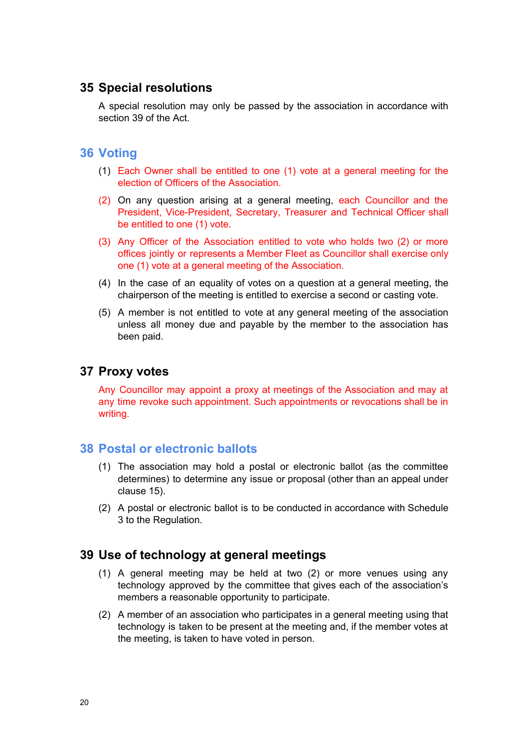# <span id="page-20-0"></span>**35 Special resolutions**

A special resolution may only be passed by the association in accordance with section 39 of the Act.

### <span id="page-20-1"></span>**36 Voting**

- (1) Each Owner shall be entitled to one (1) vote at a general meeting for the election of Officers of the Association.
- (2) On any question arising at a general meeting, each Councillor and the President, Vice-President, Secretary, Treasurer and Technical Officer shall be entitled to one (1) vote.
- (3) Any Officer of the Association entitled to vote who holds two (2) or more offices jointly or represents a Member Fleet as Councillor shall exercise only one (1) vote at a general meeting of the Association.
- (4) In the case of an equality of votes on a question at a general meeting, the chairperson of the meeting is entitled to exercise a second or casting vote.
- (5) A member is not entitled to vote at any general meeting of the association unless all money due and payable by the member to the association has been paid.

### <span id="page-20-2"></span>**37 Proxy votes**

Any Councillor may appoint a proxy at meetings of the Association and may at any time revoke such appointment. Such appointments or revocations shall be in writing.

### <span id="page-20-3"></span>**38 Postal or electronic ballots**

- (1) The association may hold a postal or electronic ballot (as the committee determines) to determine any issue or proposal (other than an appeal under clause 15).
- (2) A postal or electronic ballot is to be conducted in accordance with Schedule 3 to the Regulation.

# <span id="page-20-4"></span>**39 Use of technology at general meetings**

- (1) A general meeting may be held at two (2) or more venues using any technology approved by the committee that gives each of the association's members a reasonable opportunity to participate.
- <span id="page-20-5"></span>(2) A member of an association who participates in a general meeting using that technology is taken to be present at the meeting and, if the member votes at the meeting, is taken to have voted in person.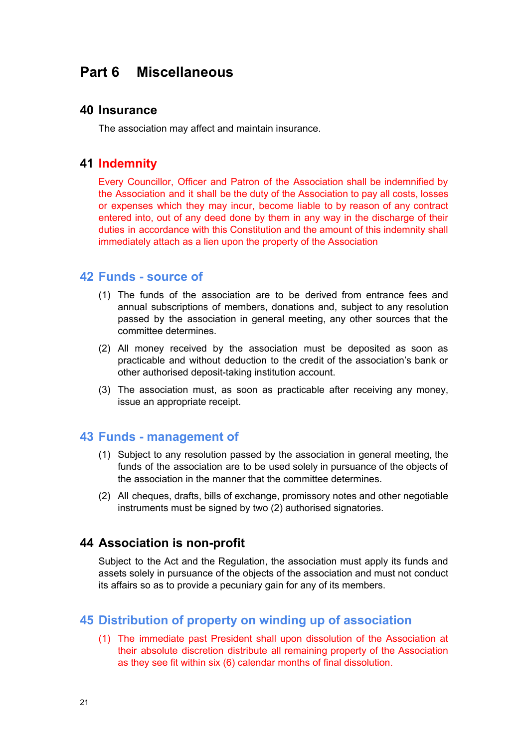# **Part 6 Miscellaneous**

### <span id="page-21-0"></span>**40 Insurance**

The association may affect and maintain insurance.

### <span id="page-21-1"></span>**41 Indemnity**

Every Councillor, Officer and Patron of the Association shall be indemnified by the Association and it shall be the duty of the Association to pay all costs, losses or expenses which they may incur, become liable to by reason of any contract entered into, out of any deed done by them in any way in the discharge of their duties in accordance with this Constitution and the amount of this indemnity shall immediately attach as a lien upon the property of the Association

### <span id="page-21-2"></span>**42 Funds - source of**

- (1) The funds of the association are to be derived from entrance fees and annual subscriptions of members, donations and, subject to any resolution passed by the association in general meeting, any other sources that the committee determines.
- (2) All money received by the association must be deposited as soon as practicable and without deduction to the credit of the association's bank or other authorised deposit-taking institution account.
- (3) The association must, as soon as practicable after receiving any money, issue an appropriate receipt.

### <span id="page-21-3"></span>**43 Funds - management of**

- (1) Subject to any resolution passed by the association in general meeting, the funds of the association are to be used solely in pursuance of the objects of the association in the manner that the committee determines.
- (2) All cheques, drafts, bills of exchange, promissory notes and other negotiable instruments must be signed by two (2) authorised signatories.

### <span id="page-21-4"></span>**44 Association is non-profit**

Subject to the Act and the Regulation, the association must apply its funds and assets solely in pursuance of the objects of the association and must not conduct its affairs so as to provide a pecuniary gain for any of its members.

### <span id="page-21-5"></span>**45 Distribution of property on winding up of association**

(1) The immediate past President shall upon dissolution of the Association at their absolute discretion distribute all remaining property of the Association as they see fit within six (6) calendar months of final dissolution.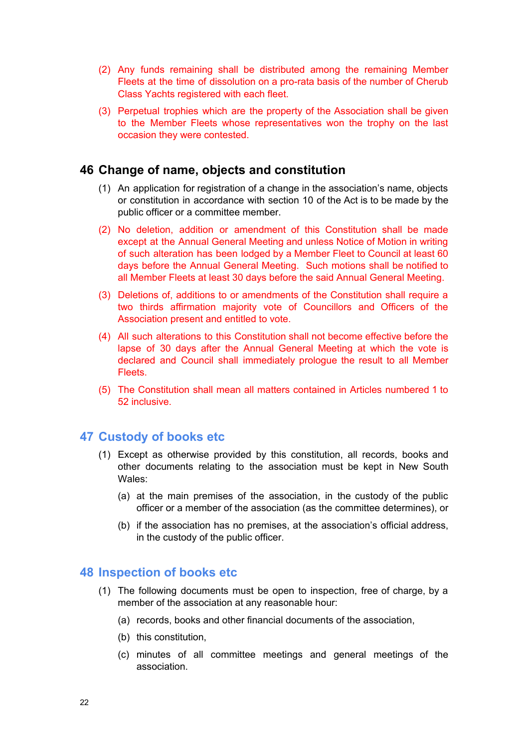- (2) Any funds remaining shall be distributed among the remaining Member Fleets at the time of dissolution on a pro-rata basis of the number of Cherub Class Yachts registered with each fleet.
- (3) Perpetual trophies which are the property of the Association shall be given to the Member Fleets whose representatives won the trophy on the last occasion they were contested.

# <span id="page-22-0"></span>**46 Change of name, objects and constitution**

- (1) An application for registration of a change in the association's name, objects or constitution in accordance with section 10 of the Act is to be made by the public officer or a committee member.
- (2) No deletion, addition or amendment of this Constitution shall be made except at the Annual General Meeting and unless Notice of Motion in writing of such alteration has been lodged by a Member Fleet to Council at least 60 days before the Annual General Meeting. Such motions shall be notified to all Member Fleets at least 30 days before the said Annual General Meeting.
- (3) Deletions of, additions to or amendments of the Constitution shall require a two thirds affirmation majority vote of Councillors and Officers of the Association present and entitled to vote.
- (4) All such alterations to this Constitution shall not become effective before the lapse of 30 days after the Annual General Meeting at which the vote is declared and Council shall immediately prologue the result to all Member **Fleets**
- (5) The Constitution shall mean all matters contained in Articles numbered 1 to 52 inclusive.

# <span id="page-22-1"></span>**47 Custody of books etc**

- (1) Except as otherwise provided by this constitution, all records, books and other documents relating to the association must be kept in New South Wales:
	- (a) at the main premises of the association, in the custody of the public officer or a member of the association (as the committee determines), or
	- (b) if the association has no premises, at the association's official address, in the custody of the public officer.

# <span id="page-22-2"></span>**48 Inspection of books etc**

- (1) The following documents must be open to inspection, free of charge, by a member of the association at any reasonable hour:
	- (a) records, books and other financial documents of the association,
	- (b) this constitution,
	- (c) minutes of all committee meetings and general meetings of the association.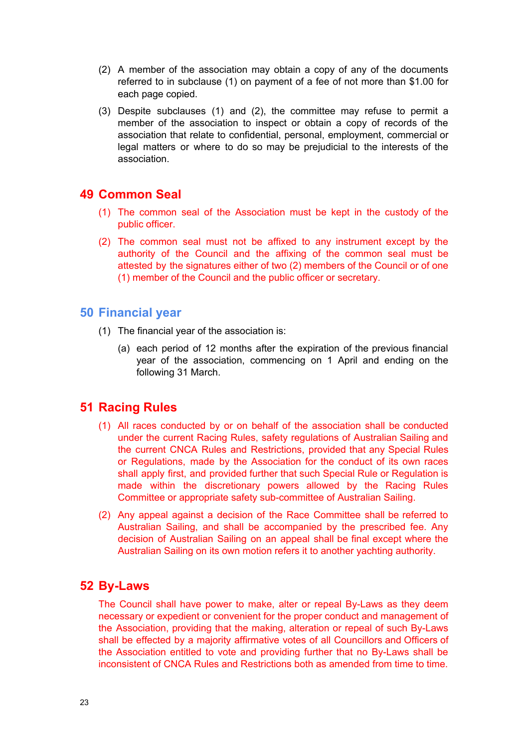- (2) A member of the association may obtain a copy of any of the documents referred to in subclause (1) on payment of a fee of not more than \$1.00 for each page copied.
- (3) Despite subclauses (1) and (2), the committee may refuse to permit a member of the association to inspect or obtain a copy of records of the association that relate to confidential, personal, employment, commercial or legal matters or where to do so may be prejudicial to the interests of the association.

# <span id="page-23-0"></span>**49 Common Seal**

- (1) The common seal of the Association must be kept in the custody of the public officer.
- (2) The common seal must not be affixed to any instrument except by the authority of the Council and the affixing of the common seal must be attested by the signatures either of two (2) members of the Council or of one (1) member of the Council and the public officer or secretary.

### <span id="page-23-1"></span>**50 Financial year**

- (1) The financial year of the association is:
	- (a) each period of 12 months after the expiration of the previous financial year of the association, commencing on 1 April and ending on the following 31 March.

# <span id="page-23-2"></span>**51 Racing Rules**

- (1) All races conducted by or on behalf of the association shall be conducted under the current Racing Rules, safety regulations of Australian Sailing and the current CNCA Rules and Restrictions, provided that any Special Rules or Regulations, made by the Association for the conduct of its own races shall apply first, and provided further that such Special Rule or Regulation is made within the discretionary powers allowed by the Racing Rules Committee or appropriate safety sub-committee of Australian Sailing.
- (2) Any appeal against a decision of the Race Committee shall be referred to Australian Sailing, and shall be accompanied by the prescribed fee. Any decision of Australian Sailing on an appeal shall be final except where the Australian Sailing on its own motion refers it to another yachting authority.

### <span id="page-23-3"></span>**52 By-Laws**

The Council shall have power to make, alter or repeal By-Laws as they deem necessary or expedient or convenient for the proper conduct and management of the Association, providing that the making, alteration or repeal of such By-Laws shall be effected by a majority affirmative votes of all Councillors and Officers of the Association entitled to vote and providing further that no By-Laws shall be inconsistent of CNCA Rules and Restrictions both as amended from time to time.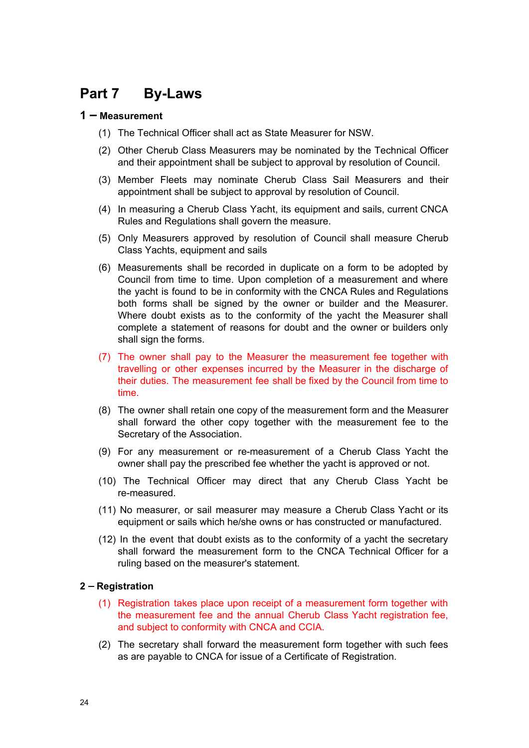# <span id="page-24-0"></span>**Part 7 By-Laws**

### <span id="page-24-1"></span>**1** ⎼ **Measurement**

- (1) The Technical Officer shall act as State Measurer for NSW.
- (2) Other Cherub Class Measurers may be nominated by the Technical Officer and their appointment shall be subject to approval by resolution of Council.
- (3) Member Fleets may nominate Cherub Class Sail Measurers and their appointment shall be subject to approval by resolution of Council.
- (4) In measuring a Cherub Class Yacht, its equipment and sails, current CNCA Rules and Regulations shall govern the measure.
- (5) Only Measurers approved by resolution of Council shall measure Cherub Class Yachts, equipment and sails
- (6) Measurements shall be recorded in duplicate on a form to be adopted by Council from time to time. Upon completion of a measurement and where the yacht is found to be in conformity with the CNCA Rules and Regulations both forms shall be signed by the owner or builder and the Measurer. Where doubt exists as to the conformity of the yacht the Measurer shall complete a statement of reasons for doubt and the owner or builders only shall sign the forms.
- (7) The owner shall pay to the Measurer the measurement fee together with travelling or other expenses incurred by the Measurer in the discharge of their duties. The measurement fee shall be fixed by the Council from time to time.
- (8) The owner shall retain one copy of the measurement form and the Measurer shall forward the other copy together with the measurement fee to the Secretary of the Association.
- (9) For any measurement or re-measurement of a Cherub Class Yacht the owner shall pay the prescribed fee whether the yacht is approved or not.
- (10) The Technical Officer may direct that any Cherub Class Yacht be re-measured.
- (11) No measurer, or sail measurer may measure a Cherub Class Yacht or its equipment or sails which he/she owns or has constructed or manufactured.
- (12) In the event that doubt exists as to the conformity of a yacht the secretary shall forward the measurement form to the CNCA [Technical](http://c.n.c.a.technical/) Officer for a ruling based on the measurer's statement.

#### <span id="page-24-2"></span>**2** ⎼ **Registration**

- (1) Registration takes place upon receipt of a measurement form together with the measurement fee and the annual Cherub Class Yacht registration fee, and subject to conformity with CNCA and CCIA.
- (2) The secretary shall forward the measurement form together with such fees as are payable to CNCA for issue of a Certificate of Registration.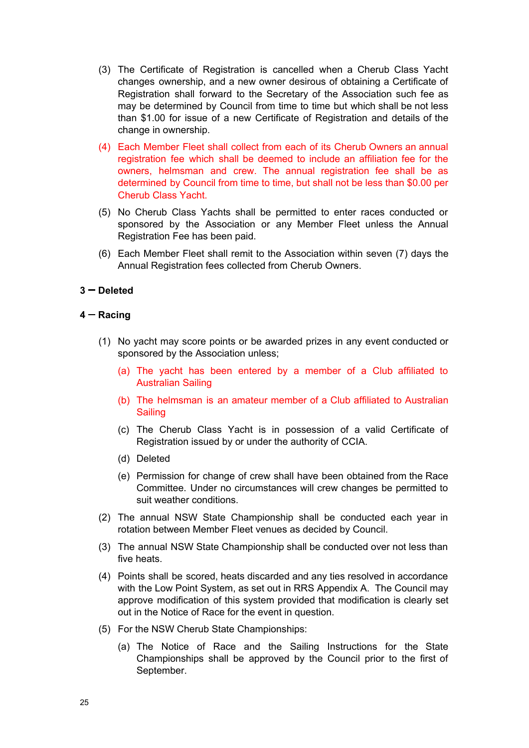- (3) The Certificate of Registration is cancelled when a Cherub Class Yacht changes ownership, and a new owner desirous of obtaining a Certificate of Registration shall forward to the Secretary of the Association such fee as may be determined by Council from time to time but which shall be not less than \$1.00 for issue of a new Certificate of Registration and details of the change in ownership.
- (4) Each Member Fleet shall collect from each of its Cherub Owners an annual registration fee which shall be deemed to include an affiliation fee for the owners, helmsman and crew. The annual registration fee shall be as determined by Council from time to time, but shall not be less than \$0.00 per Cherub Class Yacht.
- (5) No Cherub Class Yachts shall be permitted to enter races conducted or sponsored by the Association or any Member Fleet unless the Annual Registration Fee has been paid.
- (6) Each Member Fleet shall remit to the Association within seven (7) days the Annual Registration fees collected from Cherub Owners.

### <span id="page-25-0"></span>**3** ⎼ **Deleted**

### <span id="page-25-1"></span>**4** ⎼ **Racing**

- (1) No yacht may score points or be awarded prizes in any event conducted or sponsored by the Association unless;
	- (a) The yacht has been entered by a member of a Club affiliated to Australian Sailing
	- (b) The helmsman is an amateur member of a Club affiliated to Australian **Sailing**
	- (c) The Cherub Class Yacht is in possession of a valid Certificate of Registration issued by or under the authority of CCIA.
	- (d) Deleted
	- (e) Permission for change of crew shall have been obtained from the Race Committee. Under no circumstances will crew changes be permitted to suit weather conditions.
- (2) The annual NSW State Championship shall be conducted each year in rotation between Member Fleet venues as decided by Council.
- (3) The annual NSW State Championship shall be conducted over not less than five heats.
- (4) Points shall be scored, heats discarded and any ties resolved in accordance with the Low Point System, as set out in RRS Appendix A. The Council may approve modification of this system provided that modification is clearly set out in the Notice of Race for the event in question.
- (5) For the NSW Cherub State Championships:
	- (a) The Notice of Race and the Sailing Instructions for the State Championships shall be approved by the Council prior to the first of September.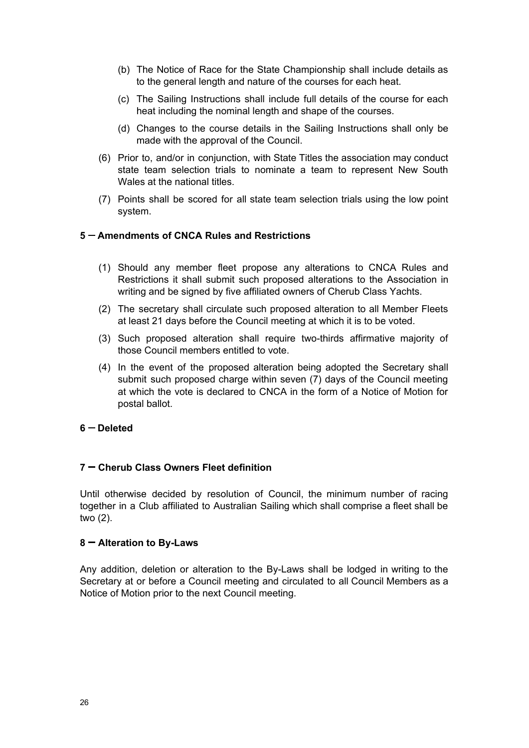- (b) The Notice of Race for the State Championship shall include details as to the general length and nature of the courses for each heat.
- (c) The Sailing Instructions shall include full details of the course for each heat including the nominal length and shape of the courses.
- (d) Changes to the course details in the Sailing Instructions shall only be made with the approval of the Council.
- (6) Prior to, and/or in conjunction, with State Titles the association may conduct state team selection trials to nominate a team to represent New South Wales at the national titles.
- (7) Points shall be scored for all state team selection trials using the low point system.

#### <span id="page-26-0"></span>**5** ⎼ **Amendments of CNCA Rules and Restrictions**

- (1) Should any member fleet propose any alterations to CNCA Rules and Restrictions it shall submit such proposed alterations to the Association in writing and be signed by five affiliated owners of Cherub Class Yachts.
- (2) The secretary shall circulate such proposed alteration to all Member Fleets at least 21 days before the Council meeting at which it is to be voted.
- (3) Such proposed alteration shall require two-thirds affirmative majority of those Council members entitled to vote.
- (4) In the event of the proposed alteration being adopted the Secretary shall submit such proposed charge within seven (7) days of the Council meeting at which the vote is declared to CNCA in the form of a Notice of Motion for postal ballot.

### <span id="page-26-1"></span>**6** ⎼ **Deleted**

### <span id="page-26-2"></span>**7** ⎼ **Cherub Class Owners Fleet definition**

Until otherwise decided by resolution of Council, the minimum number of racing together in a Club affiliated to Australian Sailing which shall comprise a fleet shall be two (2).

#### <span id="page-26-3"></span>**8** ⎼ **Alteration to By-Laws**

Any addition, deletion or alteration to the By-Laws shall be lodged in writing to the Secretary at or before a Council meeting and circulated to all Council Members as a Notice of Motion prior to the next Council meeting.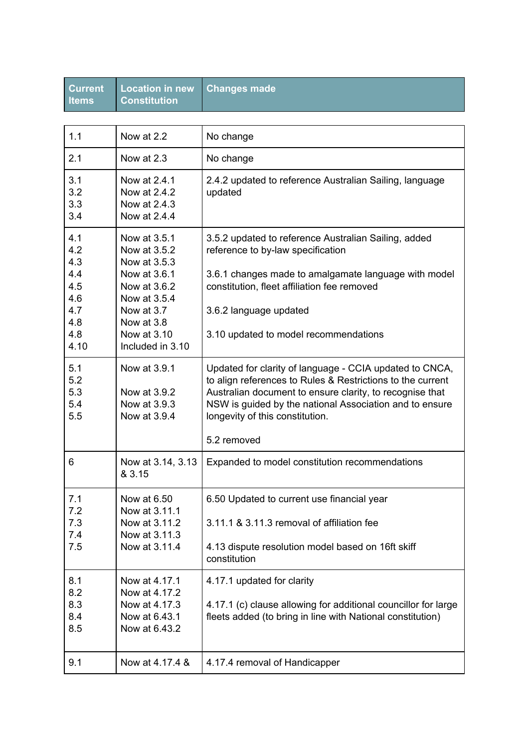| <b>Current</b><br>ltems                                     | <b>Location in new</b><br><b>Constitution</b>                                                                                           | <b>Changes made</b>                                                                                                                                                                                                                                                                            |
|-------------------------------------------------------------|-----------------------------------------------------------------------------------------------------------------------------------------|------------------------------------------------------------------------------------------------------------------------------------------------------------------------------------------------------------------------------------------------------------------------------------------------|
|                                                             |                                                                                                                                         |                                                                                                                                                                                                                                                                                                |
| 1.1                                                         | Now at 2.2                                                                                                                              | No change                                                                                                                                                                                                                                                                                      |
| 2.1                                                         | Now at 2.3                                                                                                                              | No change                                                                                                                                                                                                                                                                                      |
| 3.1<br>3.2<br>3.3<br>3.4                                    | Now at 2.4.1<br>Now at 2.4.2<br>Now at 2.4.3<br>Now at 2.4.4                                                                            | 2.4.2 updated to reference Australian Sailing, language<br>updated                                                                                                                                                                                                                             |
| 4.1<br>4.2<br>4.3<br>4.4<br>4.5<br>4.6<br>4.7<br>4.8<br>4.8 | Now at 3.5.1<br>Now at 3.5.2<br>Now at 3.5.3<br>Now at 3.6.1<br>Now at 3.6.2<br>Now at 3.5.4<br>Now at 3.7<br>Now at 3.8<br>Now at 3.10 | 3.5.2 updated to reference Australian Sailing, added<br>reference to by-law specification<br>3.6.1 changes made to amalgamate language with model<br>constitution, fleet affiliation fee removed<br>3.6.2 language updated<br>3.10 updated to model recommendations                            |
| 4.10                                                        | Included in 3.10                                                                                                                        |                                                                                                                                                                                                                                                                                                |
| 5.1<br>5.2<br>5.3<br>5.4<br>5.5                             | Now at 3.9.1<br>Now at 3.9.2<br>Now at 3.9.3<br>Now at 3.9.4                                                                            | Updated for clarity of language - CCIA updated to CNCA,<br>to align references to Rules & Restrictions to the current<br>Australian document to ensure clarity, to recognise that<br>NSW is guided by the national Association and to ensure<br>longevity of this constitution.<br>5.2 removed |
|                                                             |                                                                                                                                         |                                                                                                                                                                                                                                                                                                |
| 6                                                           | Now at 3.14, 3.13<br>& 3.15                                                                                                             | Expanded to model constitution recommendations                                                                                                                                                                                                                                                 |
| 7.1<br>7.2<br>7.3<br>7.4<br>7.5                             | Now at 6.50<br>Now at 3.11.1<br>Now at 3.11.2<br>Now at 3.11.3<br>Now at 3.11.4                                                         | 6.50 Updated to current use financial year<br>3.11.1 & 3.11.3 removal of affiliation fee<br>4.13 dispute resolution model based on 16ft skiff<br>constitution                                                                                                                                  |
| 8.1<br>8.2<br>8.3<br>8.4<br>8.5                             | Now at 4.17.1<br>Now at 4.17.2<br>Now at 4.17.3<br>Now at 6.43.1<br>Now at 6.43.2                                                       | 4.17.1 updated for clarity<br>4.17.1 (c) clause allowing for additional councillor for large<br>fleets added (to bring in line with National constitution)                                                                                                                                     |
| 9.1                                                         | Now at 4.17.4 &                                                                                                                         | 4.17.4 removal of Handicapper                                                                                                                                                                                                                                                                  |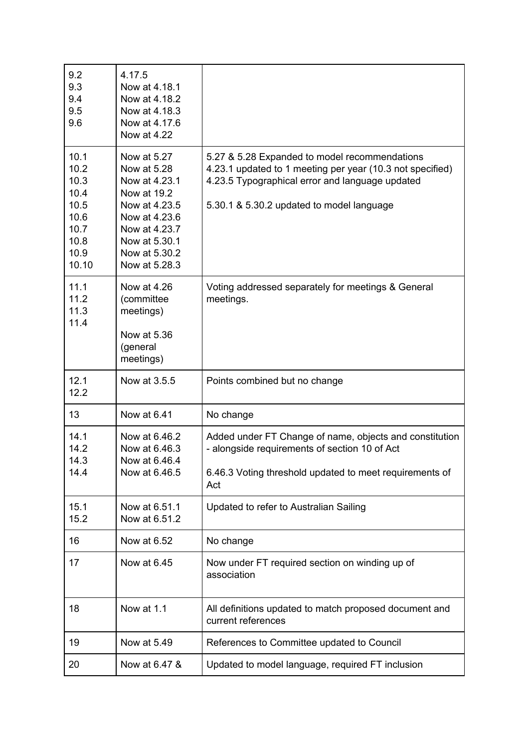| 9.2<br>9.3<br>9.4<br>9.5<br>9.6                                               | 4.17.5<br>Now at 4.18.1<br>Now at 4.18.2<br>Now at 4.18.3<br>Now at 4.17.6<br>Now at 4.22                                                                        |                                                                                                                                                                                                            |
|-------------------------------------------------------------------------------|------------------------------------------------------------------------------------------------------------------------------------------------------------------|------------------------------------------------------------------------------------------------------------------------------------------------------------------------------------------------------------|
| 10.1<br>10.2<br>10.3<br>10.4<br>10.5<br>10.6<br>10.7<br>10.8<br>10.9<br>10.10 | Now at 5.27<br>Now at 5.28<br>Now at 4.23.1<br>Now at 19.2<br>Now at 4.23.5<br>Now at 4.23.6<br>Now at 4.23.7<br>Now at 5.30.1<br>Now at 5.30.2<br>Now at 5.28.3 | 5.27 & 5.28 Expanded to model recommendations<br>4.23.1 updated to 1 meeting per year (10.3 not specified)<br>4.23.5 Typographical error and language updated<br>5.30.1 & 5.30.2 updated to model language |
| 11.1<br>11.2<br>11.3<br>11.4                                                  | Now at 4.26<br>(committee<br>meetings)<br>Now at 5.36<br>(general<br>meetings)                                                                                   | Voting addressed separately for meetings & General<br>meetings.                                                                                                                                            |
| 12.1<br>12.2                                                                  | Now at 3.5.5                                                                                                                                                     | Points combined but no change                                                                                                                                                                              |
| 13                                                                            | Now at 6.41                                                                                                                                                      | No change                                                                                                                                                                                                  |
| 14.1<br>14.2<br>14.3<br>14.4                                                  | Now at 6.46.2<br>Now at 6.46.3<br>Now at 6.46.4<br>Now at 6.46.5                                                                                                 | Added under FT Change of name, objects and constitution<br>- alongside requirements of section 10 of Act<br>6.46.3 Voting threshold updated to meet requirements of<br>Act                                 |
| 15.1<br>15.2                                                                  | Now at 6.51.1<br>Now at 6.51.2                                                                                                                                   | Updated to refer to Australian Sailing                                                                                                                                                                     |
| 16                                                                            | Now at 6.52                                                                                                                                                      | No change                                                                                                                                                                                                  |
| 17                                                                            | Now at 6.45                                                                                                                                                      | Now under FT required section on winding up of<br>association                                                                                                                                              |
| 18                                                                            | Now at 1.1                                                                                                                                                       | All definitions updated to match proposed document and<br>current references                                                                                                                               |
| 19                                                                            | Now at 5.49                                                                                                                                                      | References to Committee updated to Council                                                                                                                                                                 |
| 20                                                                            | Now at 6.47 &                                                                                                                                                    | Updated to model language, required FT inclusion                                                                                                                                                           |